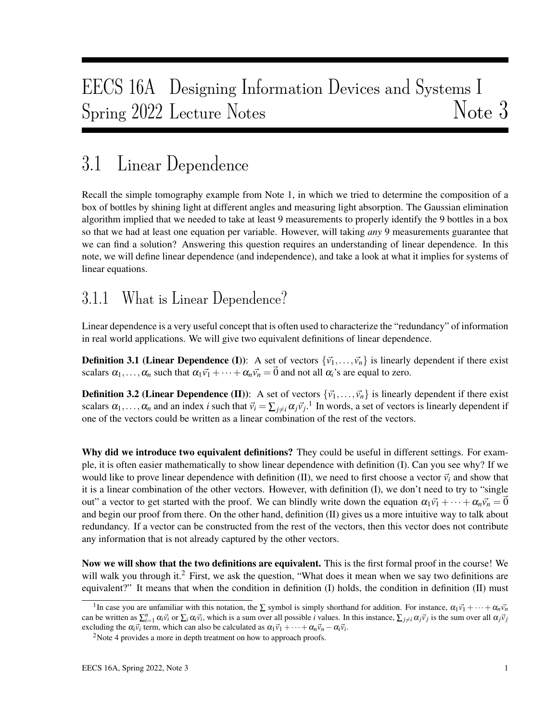# EECS 16A Designing Information Devices and Systems I Spring 2022 Lecture Notes Note 3

# 3.1 Linear Dependence

Recall the simple tomography example from Note 1, in which we tried to determine the composition of a box of bottles by shining light at different angles and measuring light absorption. The Gaussian elimination algorithm implied that we needed to take at least 9 measurements to properly identify the 9 bottles in a box so that we had at least one equation per variable. However, will taking *any* 9 measurements guarantee that we can find a solution? Answering this question requires an understanding of linear dependence. In this note, we will define linear dependence (and independence), and take a look at what it implies for systems of linear equations.

## 3.1.1 What is Linear Dependence?

Linear dependence is a very useful concept that is often used to characterize the "redundancy" of information in real world applications. We will give two equivalent definitions of linear dependence.

**Definition 3.1 (Linear Dependence (I)):** A set of vectors  $\{\vec{v}_1,\ldots,\vec{v}_n\}$  is linearly dependent if there exist scalars  $\alpha_1, \ldots, \alpha_n$  such that  $\alpha_1 \vec{v_1} + \cdots + \alpha_n \vec{v_n} = \vec{0}$  and not all  $\alpha_i$ 's are equal to zero.

**Definition 3.2 (Linear Dependence (II)):** A set of vectors  $\{\vec{v}_1,\ldots,\vec{v}_n\}$  is linearly dependent if there exist scalars  $\alpha_1, \ldots, \alpha_n$  and an index *i* such that  $\vec{v}_i = \sum_{j \neq i} \alpha_j \vec{v}_j$ .<sup>1</sup> In words, a set of vectors is linearly dependent if one of the vectors could be written as a linear combination of the rest of the vectors.

Why did we introduce two equivalent definitions? They could be useful in different settings. For example, it is often easier mathematically to show linear dependence with definition (I). Can you see why? If we would like to prove linear dependence with definition (II), we need to first choose a vector  $\vec{v}_i$  and show that it is a linear combination of the other vectors. However, with definition (I), we don't need to try to "single out" a vector to get started with the proof. We can blindly write down the equation  $\alpha_1 \vec{v_1} + \cdots + \alpha_n \vec{v_n} = \vec{0}$ and begin our proof from there. On the other hand, definition (II) gives us a more intuitive way to talk about redundancy. If a vector can be constructed from the rest of the vectors, then this vector does not contribute any information that is not already captured by the other vectors.

Now we will show that the two definitions are equivalent. This is the first formal proof in the course! We will walk you through it.<sup>2</sup> First, we ask the question, "What does it mean when we say two definitions are equivalent?" It means that when the condition in definition (I) holds, the condition in definition (II) must

<sup>&</sup>lt;sup>1</sup>In case you are unfamiliar with this notation, the  $\Sigma$  symbol is simply shorthand for addition. For instance,  $\alpha_1\vec{v}_1 + \cdots + \alpha_n\vec{v}_n$ can be written as  $\sum_{i=1}^{n} \alpha_i \vec{v}_i$  or  $\sum_i \alpha_i \vec{v}_i$ , which is a sum over all possible *i* values. In this instance,  $\sum_{j\neq i} \alpha_j \vec{v}_j$  is the sum over all  $\alpha_j \vec{v}_j$ excluding the  $\alpha_i \vec{v}_i$  term, which can also be calculated as  $\alpha_1 \vec{v}_1 + \cdots + \alpha_n \vec{v}_n - \alpha_i \vec{v}_i$ .

<sup>&</sup>lt;sup>2</sup>Note 4 provides a more in depth treatment on how to approach proofs.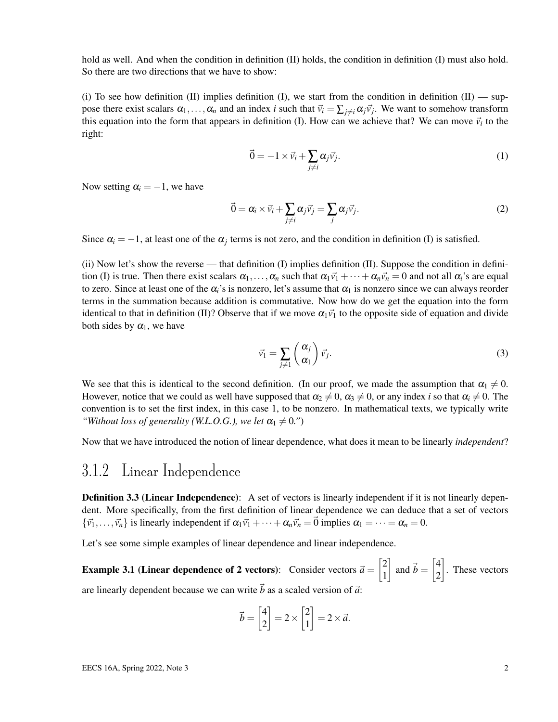hold as well. And when the condition in definition (II) holds, the condition in definition (I) must also hold. So there are two directions that we have to show:

(i) To see how definition (II) implies definition (I), we start from the condition in definition  $(II)$  — suppose there exist scalars  $\alpha_1, \ldots, \alpha_n$  and an index *i* such that  $\vec{v}_i = \sum_{j \neq i} \alpha_j \vec{v}_j$ . We want to somehow transform this equation into the form that appears in definition (I). How can we achieve that? We can move  $\vec{v}_i$  to the right:

$$
\vec{0} = -1 \times \vec{v}_i + \sum_{j \neq i} \alpha_j \vec{v}_j.
$$
 (1)

Now setting  $\alpha_i = -1$ , we have

$$
\vec{0} = \alpha_i \times \vec{v}_i + \sum_{j \neq i} \alpha_j \vec{v}_j = \sum_j \alpha_j \vec{v}_j.
$$
 (2)

Since  $\alpha_i = -1$ , at least one of the  $\alpha_j$  terms is not zero, and the condition in definition (I) is satisfied.

(ii) Now let's show the reverse — that definition (I) implies definition (II). Suppose the condition in definition (I) is true. Then there exist scalars  $\alpha_1, \ldots, \alpha_n$  such that  $\alpha_1 \vec{v_1} + \cdots + \alpha_n \vec{v_n} = 0$  and not all  $\alpha_i$ 's are equal to zero. Since at least one of the  $\alpha_i$ 's is nonzero, let's assume that  $\alpha_1$  is nonzero since we can always reorder terms in the summation because addition is commutative. Now how do we get the equation into the form identical to that in definition (II)? Observe that if we move  $\alpha_1 \vec{v_1}$  to the opposite side of equation and divide both sides by  $\alpha_1$ , we have

$$
\vec{v}_1 = \sum_{j \neq 1} \left( \frac{\alpha_j}{\alpha_1} \right) \vec{v}_j. \tag{3}
$$

We see that this is identical to the second definition. (In our proof, we made the assumption that  $\alpha_1 \neq 0$ . However, notice that we could as well have supposed that  $\alpha_2 \neq 0$ ,  $\alpha_3 \neq 0$ , or any index *i* so that  $\alpha_i \neq 0$ . The convention is to set the first index, in this case 1, to be nonzero. In mathematical texts, we typically write *"Without loss of generality (W.L.O.G.), we let*  $\alpha_1 \neq 0$ .")

Now that we have introduced the notion of linear dependence, what does it mean to be linearly *independent*?

### 3.1.2 Linear Independence

**Definition 3.3 (Linear Independence):** A set of vectors is linearly independent if it is not linearly dependent. More specifically, from the first definition of linear dependence we can deduce that a set of vectors  $\{\vec{v_1},\ldots,\vec{v_n}\}\$ is linearly independent if  $\alpha_1\vec{v_1} + \cdots + \alpha_n\vec{v_n} = \vec{0}$  implies  $\alpha_1 = \cdots = \alpha_n = 0$ .

Let's see some simple examples of linear dependence and linear independence.

**Example 3.1 (Linear dependence of 2 vectors):** Consider vectors  $\vec{a} = \begin{bmatrix} 2 & 0 \\ 0 & 1 \end{bmatrix}$ 1  $\left| \right|$  and  $\vec{b} = \begin{bmatrix} 4 \\ 2 \end{bmatrix}$ 2 . These vectors are linearly dependent because we can write  $\vec{b}$  as a scaled version of  $\vec{a}$ :

$$
\vec{b} = \begin{bmatrix} 4 \\ 2 \end{bmatrix} = 2 \times \begin{bmatrix} 2 \\ 1 \end{bmatrix} = 2 \times \vec{a}.
$$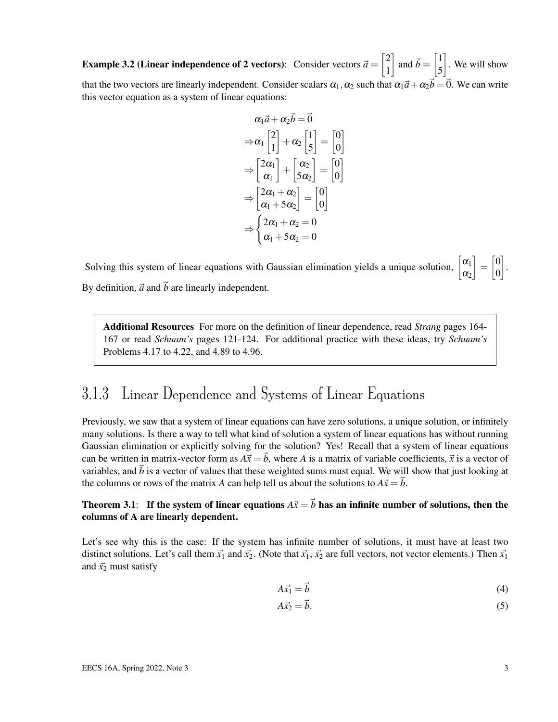**Example 3.2 (Linear independence of 2 vectors):** Consider vectors  $\vec{a} = \begin{bmatrix} 2 & 0 \\ 0 & 1 \end{bmatrix}$ 1  $\left[\right]$  and  $\vec{b} = \begin{bmatrix} 1 \\ 1 \end{bmatrix}$ 5 . We will show that the two vectors are linearly independent. Consider scalars  $\alpha_1, \alpha_2$  such that  $\alpha_1\vec{a}+\alpha_2\vec{b}=\vec{0}$ . We can write this vector equation as a system of linear equations:

$$
\alpha_1 \vec{a} + \alpha_2 \vec{b} = \vec{0}
$$
  
\n
$$
\Rightarrow \alpha_1 \begin{bmatrix} 2 \\ 1 \end{bmatrix} + \alpha_2 \begin{bmatrix} 1 \\ 5 \end{bmatrix} = \begin{bmatrix} 0 \\ 0 \end{bmatrix}
$$
  
\n
$$
\Rightarrow \begin{bmatrix} 2\alpha_1 \\ \alpha_1 \end{bmatrix} + \begin{bmatrix} \alpha_2 \\ 5\alpha_2 \end{bmatrix} = \begin{bmatrix} 0 \\ 0 \end{bmatrix}
$$
  
\n
$$
\Rightarrow \begin{bmatrix} 2\alpha_1 + \alpha_2 \\ \alpha_1 + 5\alpha_2 \end{bmatrix} = \begin{bmatrix} 0 \\ 0 \end{bmatrix}
$$
  
\n
$$
\Rightarrow \begin{cases} 2\alpha_1 + \alpha_2 = 0 \\ \alpha_1 + 5\alpha_2 = 0 \end{cases}
$$

Solving this system of linear equations with Gaussian elimination yields a unique solution,  $\begin{bmatrix} \alpha_1 \\ \alpha_2 \end{bmatrix}$  $\alpha_2$  $\begin{bmatrix} 0 \\ 0 \end{bmatrix}$ 0 . By definition,  $\vec{a}$  and  $\vec{b}$  are linearly independent.

Additional Resources For more on the definition of linear dependence, read *Strang* pages 164- 167 or read *Schuam's* pages 121-124. For additional practice with these ideas, try *Schuam's* Problems 4.17 to 4.22, and 4.89 to 4.96.

### 3.1.3 Linear Dependence and Systems of Linear Equations

Previously, we saw that a system of linear equations can have zero solutions, a unique solution, or infinitely many solutions. Is there a way to tell what kind of solution a system of linear equations has without running Gaussian elimination or explicitly solving for the solution? Yes! Recall that a system of linear equations can be written in matrix-vector form as  $A\vec{x} = \vec{b}$ , where A is a matrix of variable coefficients,  $\vec{x}$  is a vector of variables, and  $\vec{b}$  is a vector of values that these weighted sums must equal. We will show that just looking at the columns or rows of the matrix *A* can help tell us about the solutions to  $A\vec{x} = \vec{b}$ .

#### Theorem 3.1: If the system of linear equations  $A\vec{x} = \vec{b}$  has an infinite number of solutions, then the columns of A are linearly dependent.

Let's see why this is the case: If the system has infinite number of solutions, it must have at least two distinct solutions. Let's call them  $\vec{x_1}$  and  $\vec{x_2}$ . (Note that  $\vec{x_1}$ ,  $\vec{x_2}$  are full vectors, not vector elements.) Then  $\vec{x_1}$ and  $\vec{x_2}$  must satisfy

$$
A\vec{x}_1 = \vec{b} \tag{4}
$$

$$
A\vec{x}_2 = \vec{b}.\tag{5}
$$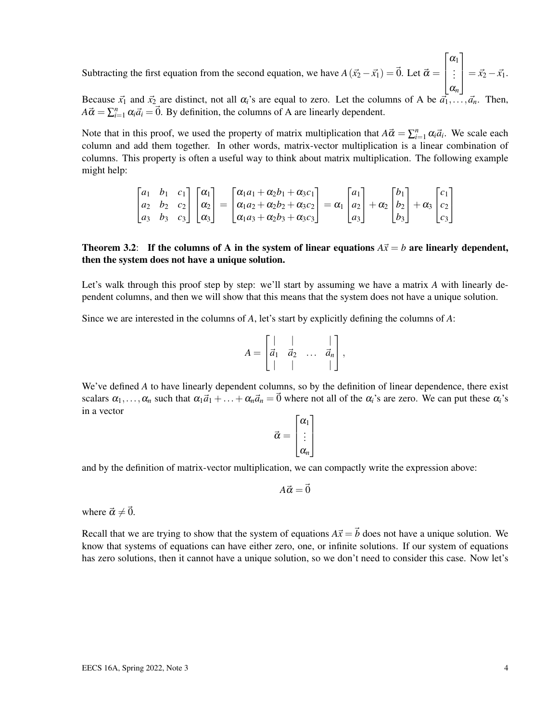Subtracting the first equation from the second equation, we have  $A(\vec{x_2} - \vec{x_1}) = \vec{0}$ . Let  $\vec{\alpha} =$  $\sqrt{ }$  $\vert$  $\alpha_1$ . . . α*n* 1  $= \vec{x_2} - \vec{x_1}.$ 

Because  $\vec{x_1}$  and  $\vec{x_2}$  are distinct, not all  $\alpha_i$ 's are equal to zero. Let the columns of A be  $\vec{a_1}$ ,.  $A\vec{\alpha} = \sum_{i=1}^{n} \alpha_i \vec{a}_i = \vec{0}$ . By definition, the columns of A are linearly dependent.

Note that in this proof, we used the property of matrix multiplication that  $A\vec{\alpha} = \sum_{i=1}^{n} \alpha_i \vec{a}_i$ . We scale each column and add them together. In other words, matrix-vector multiplication is a linear combination of columns. This property is often a useful way to think about matrix multiplication. The following example might help:

$$
\begin{bmatrix} a_1 & b_1 & c_1 \ a_2 & b_2 & c_2 \ a_3 & b_3 & c_3 \end{bmatrix} \begin{bmatrix} \alpha_1 \\ \alpha_2 \end{bmatrix} = \begin{bmatrix} \alpha_1a_1 + \alpha_2b_1 + \alpha_3c_1 \ \alpha_1a_2 + \alpha_2b_2 + \alpha_3c_2 \ \alpha_1a_3 + \alpha_2b_3 + \alpha_3c_3 \end{bmatrix} = \alpha_1 \begin{bmatrix} a_1 \\ a_2 \\ a_3 \end{bmatrix} + \alpha_2 \begin{bmatrix} b_1 \\ b_2 \\ b_3 \end{bmatrix} + \alpha_3 \begin{bmatrix} c_1 \\ c_2 \\ c_3 \end{bmatrix}
$$

#### Theorem 3.2: If the columns of A in the system of linear equations  $A\vec{x} = b$  are linearly dependent, then the system does not have a unique solution.

Let's walk through this proof step by step: we'll start by assuming we have a matrix *A* with linearly dependent columns, and then we will show that this means that the system does not have a unique solution.

Since we are interested in the columns of *A*, let's start by explicitly defining the columns of *A*:

$$
A = \begin{bmatrix} | & | & \cdots & | \\ \vec{a}_1 & \vec{a}_2 & \cdots & \vec{a}_n \\ | & | & | & | \end{bmatrix},
$$

We've defined *A* to have linearly dependent columns, so by the definition of linear dependence, there exist scalars  $\alpha_1, \ldots, \alpha_n$  such that  $\alpha_1 \vec{a}_1 + \ldots + \alpha_n \vec{a}_n = \vec{0}$  where not all of the  $\alpha_i$ 's are zero. We can put these  $\alpha_i$ 's in a vector

$$
\vec{\alpha} = \begin{bmatrix} \alpha_1 \\ \vdots \\ \alpha_n \end{bmatrix}
$$

and by the definition of matrix-vector multiplication, we can compactly write the expression above:

$$
A\vec{\alpha} = \vec{0}
$$

where  $\vec{\alpha} \neq \vec{0}$ .

Recall that we are trying to show that the system of equations  $A\vec{x} = \vec{b}$  does not have a unique solution. We know that systems of equations can have either zero, one, or infinite solutions. If our system of equations has zero solutions, then it cannot have a unique solution, so we don't need to consider this case. Now let's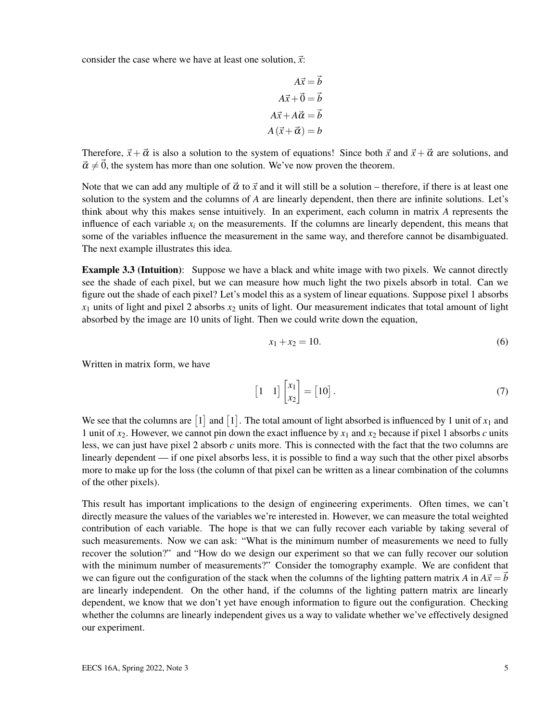consider the case where we have at least one solution,  $\vec{x}$ :

$$
A\vec{x} = \vec{b}
$$

$$
A\vec{x} + \vec{0} = \vec{b}
$$

$$
A\vec{x} + A\vec{\alpha} = \vec{b}
$$

$$
A(\vec{x} + \vec{\alpha}) = b
$$

Therefore,  $\vec{x} + \vec{\alpha}$  is also a solution to the system of equations! Since both  $\vec{x}$  and  $\vec{x} + \vec{\alpha}$  are solutions, and  $\vec{\alpha} \neq \vec{0}$ , the system has more than one solution. We've now proven the theorem.

Note that we can add any multiple of  $\vec{\alpha}$  to  $\vec{x}$  and it will still be a solution – therefore, if there is at least one solution to the system and the columns of *A* are linearly dependent, then there are infinite solutions. Let's think about why this makes sense intuitively. In an experiment, each column in matrix *A* represents the influence of each variable  $x_i$  on the measurements. If the columns are linearly dependent, this means that some of the variables influence the measurement in the same way, and therefore cannot be disambiguated. The next example illustrates this idea.

Example 3.3 (Intuition): Suppose we have a black and white image with two pixels. We cannot directly see the shade of each pixel, but we can measure how much light the two pixels absorb in total. Can we figure out the shade of each pixel? Let's model this as a system of linear equations. Suppose pixel 1 absorbs  $x_1$  units of light and pixel 2 absorbs  $x_2$  units of light. Our measurement indicates that total amount of light absorbed by the image are 10 units of light. Then we could write down the equation,

$$
x_1 + x_2 = 10.\t\t(6)
$$

Written in matrix form, we have

$$
\begin{bmatrix} 1 & 1 \end{bmatrix} \begin{bmatrix} x_1 \\ x_2 \end{bmatrix} = \begin{bmatrix} 10 \end{bmatrix}.
$$
 (7)

We see that the columns are  $[1]$  and  $[1]$ . The total amount of light absorbed is influenced by 1 unit of  $x_1$  and 1 unit of  $x_2$ . However, we cannot pin down the exact influence by  $x_1$  and  $x_2$  because if pixel 1 absorbs *c* units less, we can just have pixel 2 absorb *c* units more. This is connected with the fact that the two columns are linearly dependent — if one pixel absorbs less, it is possible to find a way such that the other pixel absorbs more to make up for the loss (the column of that pixel can be written as a linear combination of the columns of the other pixels).

This result has important implications to the design of engineering experiments. Often times, we can't directly measure the values of the variables we're interested in. However, we can measure the total weighted contribution of each variable. The hope is that we can fully recover each variable by taking several of such measurements. Now we can ask: "What is the minimum number of measurements we need to fully recover the solution?" and "How do we design our experiment so that we can fully recover our solution with the minimum number of measurements?" Consider the tomography example. We are confident that we can figure out the configuration of the stack when the columns of the lighting pattern matrix *A* in  $A\vec{x} = \vec{b}$ are linearly independent. On the other hand, if the columns of the lighting pattern matrix are linearly dependent, we know that we don't yet have enough information to figure out the configuration. Checking whether the columns are linearly independent gives us a way to validate whether we've effectively designed our experiment.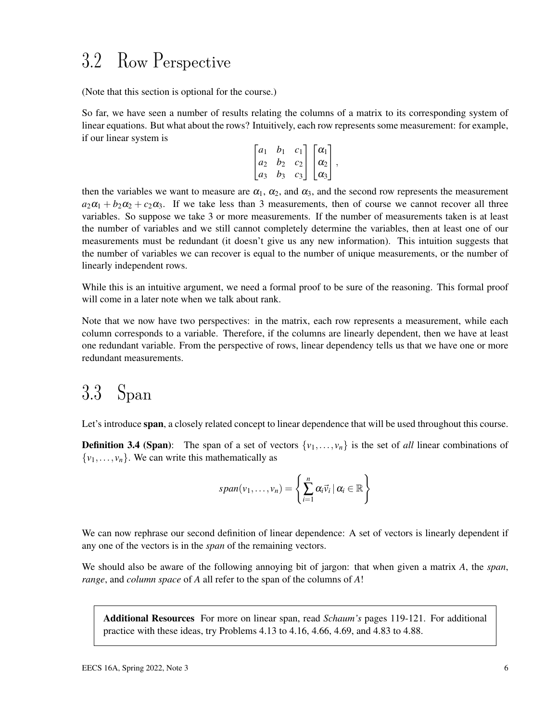## 3.2 Row Perspective

(Note that this section is optional for the course.)

So far, we have seen a number of results relating the columns of a matrix to its corresponding system of linear equations. But what about the rows? Intuitively, each row represents some measurement: for example, if our linear system is

$$
\begin{bmatrix} a_1 & b_1 & c_1 \ a_2 & b_2 & c_2 \ a_3 & b_3 & c_3 \end{bmatrix} \begin{bmatrix} \alpha_1 \\ \alpha_2 \\ \alpha_3 \end{bmatrix},
$$

then the variables we want to measure are  $\alpha_1$ ,  $\alpha_2$ , and  $\alpha_3$ , and the second row represents the measurement  $a_2a_1 + b_2a_2 + c_2a_3$ . If we take less than 3 measurements, then of course we cannot recover all three variables. So suppose we take 3 or more measurements. If the number of measurements taken is at least the number of variables and we still cannot completely determine the variables, then at least one of our measurements must be redundant (it doesn't give us any new information). This intuition suggests that the number of variables we can recover is equal to the number of unique measurements, or the number of linearly independent rows.

While this is an intuitive argument, we need a formal proof to be sure of the reasoning. This formal proof will come in a later note when we talk about rank.

Note that we now have two perspectives: in the matrix, each row represents a measurement, while each column corresponds to a variable. Therefore, if the columns are linearly dependent, then we have at least one redundant variable. From the perspective of rows, linear dependency tells us that we have one or more redundant measurements.

## 3.3 Span

Let's introduce span, a closely related concept to linear dependence that will be used throughout this course.

**Definition 3.4 (Span):** The span of a set of vectors  $\{v_1, \ldots, v_n\}$  is the set of *all* linear combinations of  $\{v_1, \ldots, v_n\}$ . We can write this mathematically as

$$
span(v_1,\ldots,v_n)=\left\{\sum_{i=1}^n\alpha_i\vec{v}_i\,|\,\alpha_i\in\mathbb{R}\right\}
$$

We can now rephrase our second definition of linear dependence: A set of vectors is linearly dependent if any one of the vectors is in the *span* of the remaining vectors.

We should also be aware of the following annoying bit of jargon: that when given a matrix *A*, the *span*, *range*, and *column space* of *A* all refer to the span of the columns of *A*!

Additional Resources For more on linear span, read *Schaum's* pages 119-121. For additional practice with these ideas, try Problems 4.13 to 4.16, 4.66, 4.69, and 4.83 to 4.88.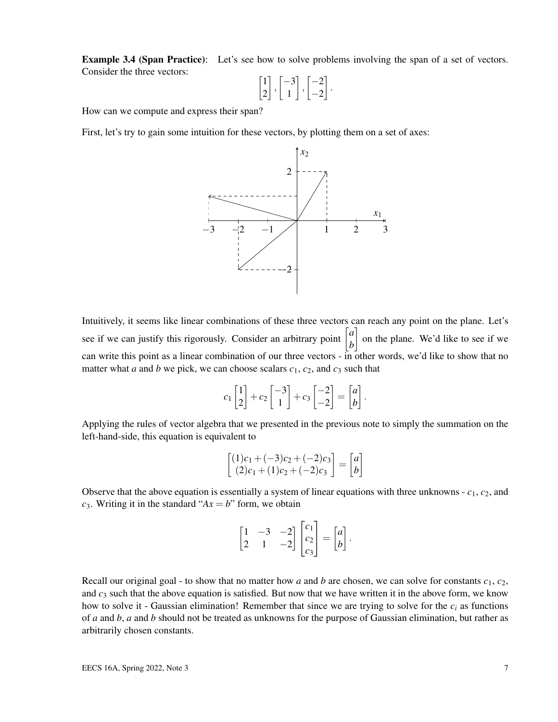**Example 3.4 (Span Practice):** Let's see how to solve problems involving the span of a set of vectors. Consider the three vectors:

$$
\begin{bmatrix} 1 \\ 2 \end{bmatrix}, \begin{bmatrix} -3 \\ 1 \end{bmatrix}, \begin{bmatrix} -2 \\ -2 \end{bmatrix}.
$$

How can we compute and express their span?

First, let's try to gain some intuition for these vectors, by plotting them on a set of axes:



Intuitively, it seems like linear combinations of these three vectors can reach any point on the plane. Let's see if we can justify this rigorously. Consider an arbitrary point  $\begin{bmatrix} a \\ b \end{bmatrix}$ *b* on the plane. We'd like to see if we can write this point as a linear combination of our three vectors - in other words, we'd like to show that no matter what *a* and *b* we pick, we can choose scalars  $c_1$ ,  $c_2$ , and  $c_3$  such that

$$
c_1\begin{bmatrix}1\\2\end{bmatrix}+c_2\begin{bmatrix}-3\\1\end{bmatrix}+c_3\begin{bmatrix}-2\\-2\end{bmatrix}=\begin{bmatrix}a\\b\end{bmatrix}.
$$

Applying the rules of vector algebra that we presented in the previous note to simply the summation on the left-hand-side, this equation is equivalent to

$$
\begin{bmatrix} (1)c_1 + (-3)c_2 + (-2)c_3 \ (2)c_1 + (1)c_2 + (-2)c_3 \end{bmatrix} = \begin{bmatrix} a \ b \end{bmatrix}
$$

Observe that the above equation is essentially a system of linear equations with three unknowns - *c*1, *c*2, and  $c_3$ . Writing it in the standard " $Ax = b$ " form, we obtain

$$
\begin{bmatrix} 1 & -3 & -2 \ 2 & 1 & -2 \end{bmatrix} \begin{bmatrix} c_1 \\ c_2 \\ c_3 \end{bmatrix} = \begin{bmatrix} a \\ b \end{bmatrix}.
$$

Recall our original goal - to show that no matter how *a* and *b* are chosen, we can solve for constants  $c_1$ ,  $c_2$ , and  $c_3$  such that the above equation is satisfied. But now that we have written it in the above form, we know how to solve it - Gaussian elimination! Remember that since we are trying to solve for the  $c_i$  as functions of *a* and *b*, *a* and *b* should not be treated as unknowns for the purpose of Gaussian elimination, but rather as arbitrarily chosen constants.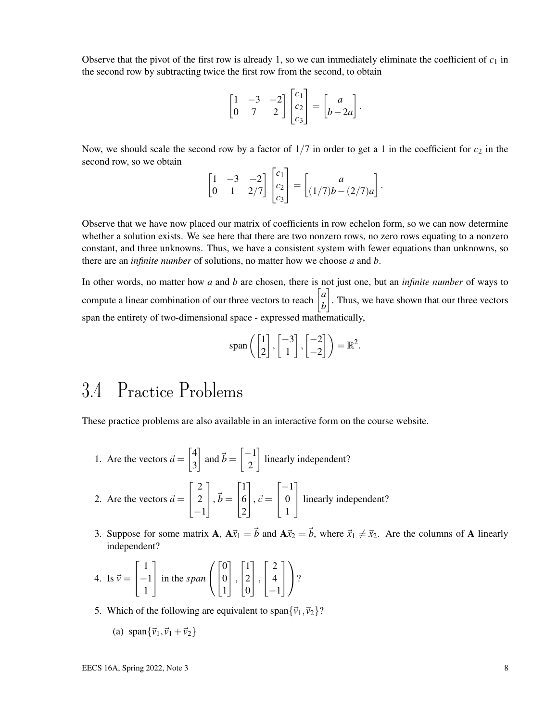Observe that the pivot of the first row is already 1, so we can immediately eliminate the coefficient of  $c_1$  in the second row by subtracting twice the first row from the second, to obtain

$$
\begin{bmatrix} 1 & -3 & -2 \ 0 & 7 & 2 \end{bmatrix} \begin{bmatrix} c_1 \ c_2 \ c_3 \end{bmatrix} = \begin{bmatrix} a \ b - 2a \end{bmatrix}.
$$

Now, we should scale the second row by a factor of  $1/7$  in order to get a 1 in the coefficient for  $c_2$  in the second row, so we obtain

$$
\begin{bmatrix} 1 & -3 & -2 \ 0 & 1 & 2/7 \end{bmatrix} \begin{bmatrix} c_1 \ c_2 \ c_3 \end{bmatrix} = \begin{bmatrix} a \ (1/7)b - (2/7)a \end{bmatrix}.
$$

Observe that we have now placed our matrix of coefficients in row echelon form, so we can now determine whether a solution exists. We see here that there are two nonzero rows, no zero rows equating to a nonzero constant, and three unknowns. Thus, we have a consistent system with fewer equations than unknowns, so there are an *infinite number* of solutions, no matter how we choose *a* and *b*.

In other words, no matter how *a* and *b* are chosen, there is not just one, but an *infinite number* of ways to compute a linear combination of our three vectors to reach  $\begin{bmatrix} a \\ b \end{bmatrix}$ *b* . Thus, we have shown that our three vectors span the entirety of two-dimensional space - expressed mathematically,

$$
\mathrm{span}\left(\begin{bmatrix}1\\2\end{bmatrix}, \begin{bmatrix}-3\\1\end{bmatrix}, \begin{bmatrix}-2\\-2\end{bmatrix}\right) = \mathbb{R}^2.
$$

# 3.4 Practice Problems

These practice problems are also available in an interactive form on the course website.

- 1. Are the vectors  $\vec{a} = \begin{bmatrix} 4 \\ 2 \end{bmatrix}$ 3  $\left[\right]$  and  $\vec{b} = \left[\frac{-1}{2}\right]$ 2 linearly independent?
- 2. Are the vectors  $\vec{a} =$  $\sqrt{ }$  $\overline{1}$ 2 2 −1 1  $\Big|$ ,  $\vec{b} =$  $\sqrt{ }$  $\overline{1}$ 1 6 2 1  $\Big\vert$ ,  $\vec{c} =$  $\sqrt{ }$  $\overline{1}$  $-1$ 0 1 1 linearly independent?
- 3. Suppose for some matrix **A**,  $A\vec{x}_1 = \vec{b}$  and  $A\vec{x}_2 = \vec{b}$ , where  $\vec{x}_1 \neq \vec{x}_2$ . Are the columns of **A** linearly independent?

4. Is 
$$
\vec{v} = \begin{bmatrix} 1 \\ -1 \\ 1 \end{bmatrix}
$$
 in the *span*  $\left( \begin{bmatrix} 0 \\ 0 \\ 1 \end{bmatrix}, \begin{bmatrix} 1 \\ 2 \\ 0 \end{bmatrix}, \begin{bmatrix} 2 \\ 4 \\ -1 \end{bmatrix} \right)$ ?

5. Which of the following are equivalent to span ${\lbrace \vec{v}_1, \vec{v}_2 \rbrace}$ ?

(a) 
$$
\text{span}\{\vec{v}_1, \vec{v}_1 + \vec{v}_2\}
$$